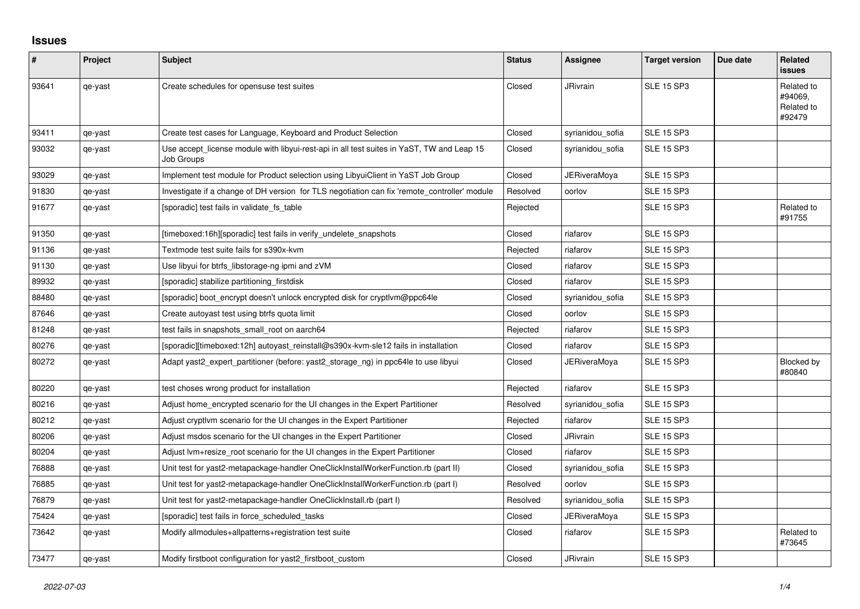## **Issues**

| $\pmb{\#}$ | Project | <b>Subject</b>                                                                                          | <b>Status</b> | Assignee            | <b>Target version</b> | Due date | <b>Related</b><br><b>issues</b>               |
|------------|---------|---------------------------------------------------------------------------------------------------------|---------------|---------------------|-----------------------|----------|-----------------------------------------------|
| 93641      | qe-yast | Create schedules for opensuse test suites                                                               | Closed        | <b>JRivrain</b>     | <b>SLE 15 SP3</b>     |          | Related to<br>#94069,<br>Related to<br>#92479 |
| 93411      | qe-yast | Create test cases for Language, Keyboard and Product Selection                                          | Closed        | syrianidou sofia    | <b>SLE 15 SP3</b>     |          |                                               |
| 93032      | qe-yast | Use accept license module with libyui-rest-api in all test suites in YaST, TW and Leap 15<br>Job Groups | Closed        | syrianidou sofia    | <b>SLE 15 SP3</b>     |          |                                               |
| 93029      | qe-yast | Implement test module for Product selection using LibyuiClient in YaST Job Group                        | Closed        | <b>JERiveraMoya</b> | <b>SLE 15 SP3</b>     |          |                                               |
| 91830      | qe-yast | Investigate if a change of DH version for TLS negotiation can fix 'remote controller' module            | Resolved      | oorlov              | <b>SLE 15 SP3</b>     |          |                                               |
| 91677      | qe-yast | [sporadic] test fails in validate fs table                                                              | Rejected      |                     | <b>SLE 15 SP3</b>     |          | Related to<br>#91755                          |
| 91350      | qe-yast | [timeboxed:16h][sporadic] test fails in verify_undelete_snapshots                                       | Closed        | riafarov            | <b>SLE 15 SP3</b>     |          |                                               |
| 91136      | qe-yast | Textmode test suite fails for s390x-kvm                                                                 | Rejected      | riafarov            | <b>SLE 15 SP3</b>     |          |                                               |
| 91130      | qe-yast | Use libyui for btrfs libstorage-ng ipmi and zVM                                                         | Closed        | riafarov            | <b>SLE 15 SP3</b>     |          |                                               |
| 89932      | qe-yast | [sporadic] stabilize partitioning firstdisk                                                             | Closed        | riafarov            | <b>SLE 15 SP3</b>     |          |                                               |
| 88480      | qe-yast | [sporadic] boot encrypt doesn't unlock encrypted disk for cryptlym@ppc64le                              | Closed        | syrianidou sofia    | <b>SLE 15 SP3</b>     |          |                                               |
| 87646      | qe-yast | Create autoyast test using btrfs quota limit                                                            | Closed        | oorlov              | <b>SLE 15 SP3</b>     |          |                                               |
| 81248      | qe-yast | test fails in snapshots small root on aarch64                                                           | Rejected      | riafarov            | <b>SLE 15 SP3</b>     |          |                                               |
| 80276      | qe-yast | [sporadic][timeboxed:12h] autoyast_reinstall@s390x-kvm-sle12 fails in installation                      | Closed        | riafarov            | <b>SLE 15 SP3</b>     |          |                                               |
| 80272      | qe-yast | Adapt yast2_expert_partitioner (before: yast2_storage_ng) in ppc64le to use libyui                      | Closed        | JERiveraMoya        | <b>SLE 15 SP3</b>     |          | Blocked by<br>#80840                          |
| 80220      | qe-yast | test choses wrong product for installation                                                              | Rejected      | riafarov            | <b>SLE 15 SP3</b>     |          |                                               |
| 80216      | qe-yast | Adjust home encrypted scenario for the UI changes in the Expert Partitioner                             | Resolved      | syrianidou sofia    | <b>SLE 15 SP3</b>     |          |                                               |
| 80212      | qe-yast | Adjust cryptivm scenario for the UI changes in the Expert Partitioner                                   | Rejected      | riafarov            | <b>SLE 15 SP3</b>     |          |                                               |
| 80206      | qe-yast | Adjust msdos scenario for the UI changes in the Expert Partitioner                                      | Closed        | <b>JRivrain</b>     | <b>SLE 15 SP3</b>     |          |                                               |
| 80204      | qe-yast | Adjust lvm+resize_root scenario for the UI changes in the Expert Partitioner                            | Closed        | riafarov            | <b>SLE 15 SP3</b>     |          |                                               |
| 76888      | qe-yast | Unit test for yast2-metapackage-handler OneClickInstallWorkerFunction.rb (part II)                      | Closed        | syrianidou_sofia    | <b>SLE 15 SP3</b>     |          |                                               |
| 76885      | qe-yast | Unit test for yast2-metapackage-handler OneClickInstallWorkerFunction.rb (part I)                       | Resolved      | oorlov              | <b>SLE 15 SP3</b>     |          |                                               |
| 76879      | qe-yast | Unit test for yast2-metapackage-handler OneClickInstall.rb (part I)                                     | Resolved      | syrianidou_sofia    | <b>SLE 15 SP3</b>     |          |                                               |
| 75424      | qe-yast | [sporadic] test fails in force scheduled tasks                                                          | Closed        | <b>JERiveraMoya</b> | <b>SLE 15 SP3</b>     |          |                                               |
| 73642      | qe-yast | Modify allmodules+allpatterns+registration test suite                                                   | Closed        | riafarov            | <b>SLE 15 SP3</b>     |          | Related to<br>#73645                          |
| 73477      | qe-yast | Modify firstboot configuration for yast2_firstboot_custom                                               | Closed        | JRivrain            | <b>SLE 15 SP3</b>     |          |                                               |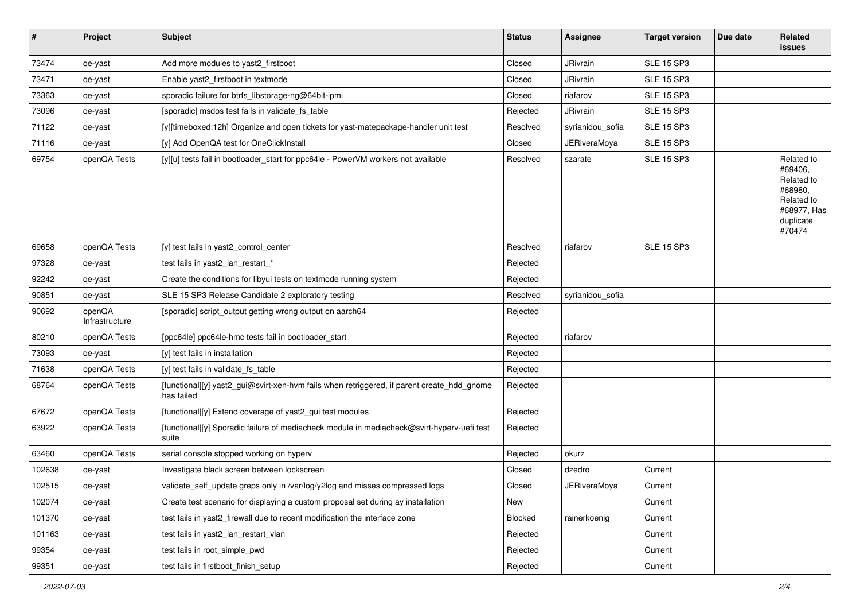| $\vert$ # | Project                  | <b>Subject</b>                                                                                           | <b>Status</b>              | <b>Assignee</b>     | <b>Target version</b> | Due date | Related<br><b>issues</b>                                                                           |
|-----------|--------------------------|----------------------------------------------------------------------------------------------------------|----------------------------|---------------------|-----------------------|----------|----------------------------------------------------------------------------------------------------|
| 73474     | qe-yast                  | Add more modules to yast2_firstboot                                                                      | Closed                     | <b>JRivrain</b>     | <b>SLE 15 SP3</b>     |          |                                                                                                    |
| 73471     | qe-yast                  | Enable yast2_firstboot in textmode                                                                       | Closed                     | <b>JRivrain</b>     | <b>SLE 15 SP3</b>     |          |                                                                                                    |
| 73363     | qe-yast                  | sporadic failure for btrfs_libstorage-ng@64bit-ipmi                                                      | Closed                     | riafarov            | <b>SLE 15 SP3</b>     |          |                                                                                                    |
| 73096     | qe-yast                  | [sporadic] msdos test fails in validate_fs_table                                                         | Rejected                   | <b>JRivrain</b>     | <b>SLE 15 SP3</b>     |          |                                                                                                    |
| 71122     | qe-yast                  | [y][timeboxed:12h] Organize and open tickets for yast-matepackage-handler unit test                      | Resolved                   | syrianidou_sofia    | <b>SLE 15 SP3</b>     |          |                                                                                                    |
| 71116     | qe-yast                  | [y] Add OpenQA test for OneClickInstall                                                                  | Closed                     | <b>JERiveraMoya</b> | <b>SLE 15 SP3</b>     |          |                                                                                                    |
| 69754     | openQA Tests             | [y][u] tests fail in bootloader_start for ppc64le - PowerVM workers not available                        | Resolved                   | szarate             | <b>SLE 15 SP3</b>     |          | Related to<br>#69406,<br>Related to<br>#68980,<br>Related to<br>#68977, Has<br>duplicate<br>#70474 |
| 69658     | openQA Tests             | [y] test fails in yast2_control_center                                                                   | Resolved                   | riafarov            | <b>SLE 15 SP3</b>     |          |                                                                                                    |
| 97328     | qe-yast                  | test fails in yast2_lan_restart_*                                                                        | Rejected                   |                     |                       |          |                                                                                                    |
| 92242     | qe-yast                  | Create the conditions for libyui tests on textmode running system                                        | Rejected                   |                     |                       |          |                                                                                                    |
| 90851     | qe-yast                  | SLE 15 SP3 Release Candidate 2 exploratory testing                                                       | Resolved                   | syrianidou_sofia    |                       |          |                                                                                                    |
| 90692     | openQA<br>Infrastructure | [sporadic] script_output getting wrong output on aarch64                                                 | Rejected                   |                     |                       |          |                                                                                                    |
| 80210     | openQA Tests             | [ppc64le] ppc64le-hmc tests fail in bootloader_start                                                     | Rejected                   | riafarov            |                       |          |                                                                                                    |
| 73093     | qe-yast                  | [y] test fails in installation                                                                           | Rejected                   |                     |                       |          |                                                                                                    |
| 71638     | openQA Tests             | [y] test fails in validate_fs_table                                                                      | Rejected                   |                     |                       |          |                                                                                                    |
| 68764     | openQA Tests             | [functional][y] yast2_gui@svirt-xen-hvm fails when retriggered, if parent create_hdd_gnome<br>has failed | Rejected                   |                     |                       |          |                                                                                                    |
| 67672     | openQA Tests             | [functional][y] Extend coverage of yast2_gui test modules                                                | Rejected                   |                     |                       |          |                                                                                                    |
| 63922     | openQA Tests             | [functional][y] Sporadic failure of mediacheck module in mediacheck@svirt-hyperv-uefi test<br>suite      | Rejected                   |                     |                       |          |                                                                                                    |
| 63460     | openQA Tests             | serial console stopped working on hyperv                                                                 | Rejected                   | okurz               |                       |          |                                                                                                    |
| 102638    | qe-yast                  | Investigate black screen between lockscreen                                                              | Closed                     | dzedro              | Current               |          |                                                                                                    |
| 102515    | qe-yast                  | validate_self_update greps only in /var/log/y2log and misses compressed logs                             | $\mathop{\mathsf{Closed}}$ | <b>JERiveraMoya</b> | Current               |          |                                                                                                    |
| 102074    | qe-yast                  | Create test scenario for displaying a custom proposal set during ay installation                         | New                        |                     | Current               |          |                                                                                                    |
| 101370    | qe-yast                  | test fails in yast2_firewall due to recent modification the interface zone                               | Blocked                    | rainerkoenig        | Current               |          |                                                                                                    |
| 101163    | qe-yast                  | test fails in yast2 lan restart vlan                                                                     | Rejected                   |                     | Current               |          |                                                                                                    |
| 99354     | qe-yast                  | test fails in root simple pwd                                                                            | Rejected                   |                     | Current               |          |                                                                                                    |
| 99351     | qe-yast                  | test fails in firstboot_finish_setup                                                                     | Rejected                   |                     | Current               |          |                                                                                                    |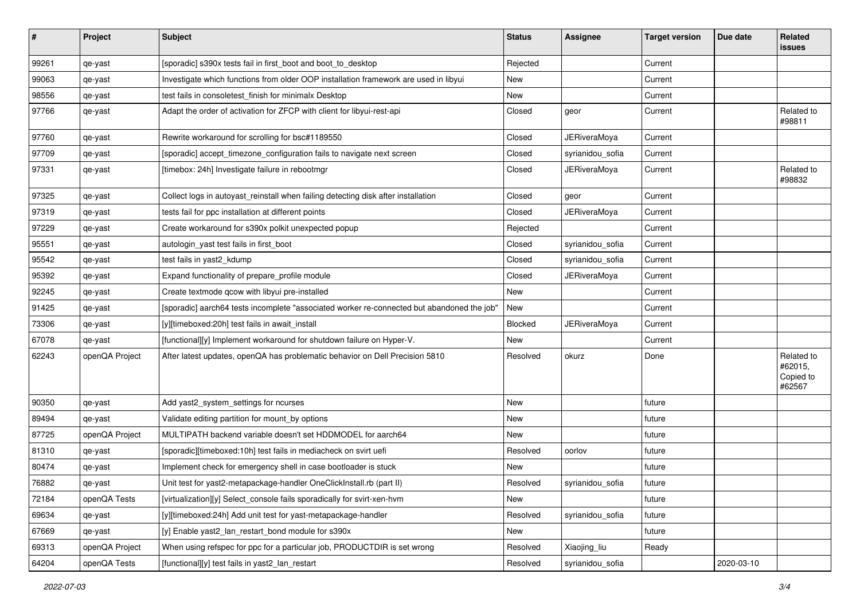| $\pmb{\#}$ | Project        | Subject                                                                                    | <b>Status</b> | <b>Assignee</b>     | <b>Target version</b> | Due date   | Related<br><b>issues</b>                     |
|------------|----------------|--------------------------------------------------------------------------------------------|---------------|---------------------|-----------------------|------------|----------------------------------------------|
| 99261      | qe-yast        | [sporadic] s390x tests fail in first_boot and boot_to_desktop                              | Rejected      |                     | Current               |            |                                              |
| 99063      | qe-yast        | Investigate which functions from older OOP installation framework are used in libyui       | New           |                     | Current               |            |                                              |
| 98556      | qe-yast        | test fails in consoletest finish for minimalx Desktop                                      | New           |                     | Current               |            |                                              |
| 97766      | qe-yast        | Adapt the order of activation for ZFCP with client for libyui-rest-api                     | Closed        | geor                | Current               |            | Related to<br>#98811                         |
| 97760      | qe-yast        | Rewrite workaround for scrolling for bsc#1189550                                           | Closed        | JERiveraMoya        | Current               |            |                                              |
| 97709      | qe-yast        | [sporadic] accept_timezone_configuration fails to navigate next screen                     | Closed        | syrianidou_sofia    | Current               |            |                                              |
| 97331      | qe-yast        | [timebox: 24h] Investigate failure in rebootmgr                                            | Closed        | <b>JERiveraMoya</b> | Current               |            | Related to<br>#98832                         |
| 97325      | qe-yast        | Collect logs in autoyast_reinstall when failing detecting disk after installation          | Closed        | geor                | Current               |            |                                              |
| 97319      | qe-yast        | tests fail for ppc installation at different points                                        | Closed        | JERiveraMoya        | Current               |            |                                              |
| 97229      | qe-yast        | Create workaround for s390x polkit unexpected popup                                        | Rejected      |                     | Current               |            |                                              |
| 95551      | qe-yast        | autologin_yast test fails in first_boot                                                    | Closed        | syrianidou sofia    | Current               |            |                                              |
| 95542      | qe-yast        | test fails in yast2_kdump                                                                  | Closed        | syrianidou_sofia    | Current               |            |                                              |
| 95392      | qe-yast        | Expand functionality of prepare profile module                                             | Closed        | <b>JERiveraMoya</b> | Current               |            |                                              |
| 92245      | qe-yast        | Create textmode gcow with libyui pre-installed                                             | New           |                     | Current               |            |                                              |
| 91425      | qe-yast        | [sporadic] aarch64 tests incomplete "associated worker re-connected but abandoned the job" | New           |                     | Current               |            |                                              |
| 73306      | qe-yast        | [y][timeboxed:20h] test fails in await install                                             | Blocked       | <b>JERiveraMoya</b> | Current               |            |                                              |
| 67078      | qe-yast        | [functional][y] Implement workaround for shutdown failure on Hyper-V.                      | <b>New</b>    |                     | Current               |            |                                              |
| 62243      | openQA Project | After latest updates, openQA has problematic behavior on Dell Precision 5810               | Resolved      | okurz               | Done                  |            | Related to<br>#62015,<br>Copied to<br>#62567 |
| 90350      | qe-yast        | Add yast2_system_settings for ncurses                                                      | New           |                     | future                |            |                                              |
| 89494      | qe-yast        | Validate editing partition for mount_by options                                            | <b>New</b>    |                     | future                |            |                                              |
| 87725      | openQA Project | MULTIPATH backend variable doesn't set HDDMODEL for aarch64                                | New           |                     | future                |            |                                              |
| 81310      | qe-yast        | [sporadic][timeboxed:10h] test fails in mediacheck on svirt uefi                           | Resolved      | oorlov              | future                |            |                                              |
| 80474      | qe-yast        | Implement check for emergency shell in case bootloader is stuck                            | New           |                     | future                |            |                                              |
| 76882      | qe-yast        | Unit test for yast2-metapackage-handler OneClickInstall.rb (part II)                       | Resolved      | syrianidou sofia    | future                |            |                                              |
| 72184      | openQA Tests   | [virtualization][y] Select_console fails sporadically for svirt-xen-hvm                    | New           |                     | future                |            |                                              |
| 69634      | qe-yast        | [y][timeboxed:24h] Add unit test for yast-metapackage-handler                              | Resolved      | syrianidou_sofia    | future                |            |                                              |
| 67669      | qe-yast        | [y] Enable yast2_lan_restart_bond module for s390x                                         | New           |                     | future                |            |                                              |
| 69313      | openQA Project | When using refspec for ppc for a particular job, PRODUCTDIR is set wrong                   | Resolved      | Xiaojing_liu        | Ready                 |            |                                              |
| 64204      | openQA Tests   | [functional][y] test fails in yast2_lan_restart                                            | Resolved      | syrianidou_sofia    |                       | 2020-03-10 |                                              |